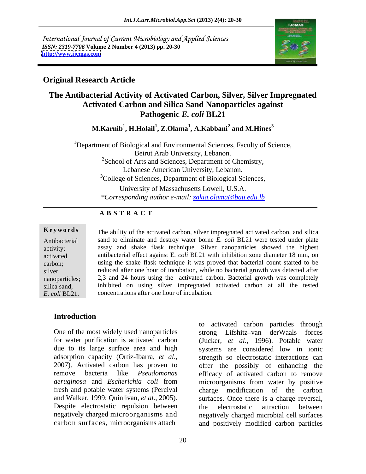International Journal of Current Microbiology and Applied Sciences *ISSN: 2319-7706* **Volume 2 Number 4 (2013) pp. 20-30 <http://www.ijcmas.com>**



## **Original Research Article**

# **The Antibacterial Activity of Activated Carbon, Silver, Silver Impregnated Activated Carbon and Silica Sand Nanoparticles against Pathogenic** *E. coli* **BL21**

 $\mathbf{M}$ .Karnib $^1$ , **H.H**olail $^1$ , **Z.Olama** $^1$ **, A.Kabbani** $^2$  **and**  $\mathbf{M}$ **.Hines** $^3$  **and M.Hines<sup>3</sup>**

<sup>1</sup>Department of Biological and Environmental Sciences, Faculty of Science, Beirut Arab University, Lebanon. <sup>2</sup>School of Arts and Sciences, Department of Chemistry, Lebanese American University, Lebanon. **<sup>3</sup>**College of Sciences, Department of Biological Sciences,

University of Massachusetts Lowell, U.S.A. *\*Corresponding author e-mail: zakia.olama@bau.edu.lb*

### **A B S T R A C T**

**Keywords** The ability of the activated carbon, silver impregnated activated carbon, and silica Antibacterial sand to eliminate and destroy water borne *E. coli* BL21 were tested under plate activity; assay and shake flask technique. Silver nanoparticles showed the highest activated antibacterial effect against E*. coli* BL21 with inhibition zone diameter 18 mm, on carbon; using the shake flask technique it was proved that bacterial count started to be silver reduced after one hour of incubation, while no bacterial growth was detected after nanoparticles; 2,3 and 24 hours using the activated carbon. Bacterial growth was completely silica sand; inhibited on using silver impregnated activated carbon at all the tested **EXECUTE:** The ability of the activated carbon, silver impregnated activated carbon, and silica sand to eliminate and destroy water borne *E. coli* BL21 were tested under plate activity; assay and shake flask technique. Si concentrations after one hour of incubation.

## **Introduction**

Despite electrostatic repulsion between the electrostatic attraction between

One of the most widely used nanoparticles strong Lifshitz-van derWaals forces for water purification is activated carbon (Jucker, *et al*., 1996). Potable water due to its large surface area and high systems are considered low in ionic adsorption capacity (Ortiz-Ibarra, *et al*., strength so electrostatic interactions can<br>2007). Activated carbon has proven to soffer the possibly of enhancing the remove bacteria like *Pseudomonas*  efficacy of activated carbon to remove *aeruginosa* and *Escherichia coli* from microorganisms from water by positive fresh and potable water systems (Percival charge modification of the carbon and Walker, 1999; Quinlivan, *et al*., 2005). surfaces. Once there is a charge reversal, negatively charged microorganisms and negatively charged microbial cell surfaces carbon surfaces, microorganisms attach and positively modified carbon particles to activated carbon particles through strength so electrostatic interactions can offer the possibly of enhancing the the electrostatic attraction between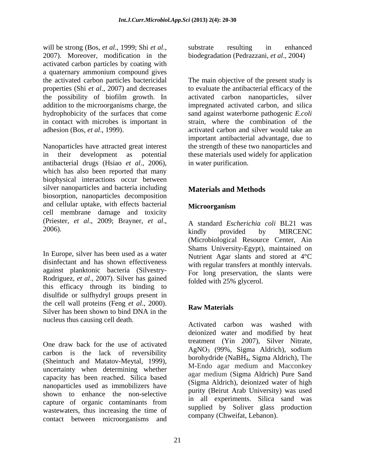will be strong (Bos, *et al.*, 1999; Shi *et al.*, 2005; and in the *substrate* resulting in enhanced 2007). Moreover, modification in the biodegradation (Pedrazzani, *et al.*, 2004) activated carbon particles by coating with a quaternary ammonium compound gives the activated carbon particles bactericidal The main objective of the present study is properties (Shi *et al*., 2007) and decreases to evaluate the antibacterial efficacy of the the possibility of biofilm growth. In activated carbon nanoparticles, silver addition to the microorganisms charge, the hydrophobicity of the surfaces that come sand against waterborne pathogenic *E.coli* in contact with microbes is important in

Nanoparticles have attracted great interest the strength of these two nanoparticles and in their development as potential these materials used widely for application antibacterial drugs (Hsiao *et al*., 2006), which has also been reported that many biophysical interactions occur between silver nanoparticles and bacteria including **Materials and Methods** biosorption, nanoparticles decomposition and cellular uptake, with effects bacterial cell membrane damage and toxicity (Priester, *et al*., 2009; Brayner, *et al*., 2006). A standard *Escherichia coli* BL21 was

In Europe, silver has been used as a water disinfectant and has shown effectiveness against planktonic bacteria (Silvestry- Rodriguez, *et al*., 2007). Silver has gained this efficacy through its binding to disulfide or sulfhydryl groups present in the cell wall proteins (Feng  $et al., 2000$ ). the cell wall proteins (Feng *et al.*, 2000).<br>Silver has been shown to bind DNA in the **Raw Materials** nucleus thus causing cell death.

One draw back for the use of activated  $\frac{\text{diament}(\text{Im }2007)}{\text{A} \cdot \text{N}(\text{O})}$  (2004). Since initiate, carbon is the lack of reversibility (Sheintuch and Matatov-Meytal, 1999), uncertainty when determining whether capacity has been reached. Silica based nanoparticles used as immobilizers have shown to enhance the non-selective capture of organic contaminants from  $\frac{11}{11}$  and experiments. Since sand was wastewaters, thus increasing the time of contact between microorganisms and

substrate resulting in enhanced biodegradation (Pedrazzani, *et al*., 2004)

adhesion (Bos, *et al*., 1999). activated carbon and silver would take an impregnated activated carbon, and silica strain, where the combination of the important antibacterial advantage, due to in water purification.

# **Materials and Methods**

# **Microorganism**

kindly provided by MIRCENC (Microbiological Resource Center, Ain Shams University-Egypt), maintained on Nutrient Agar slants and stored at 4°C with regular transfers at monthly intervals. For long preservation, the slants were folded with 25% glycerol.

# **Raw Materials**

Activated carbon was washed with deionized water and modified by heat treatment (Yin 2007), Silver Nitrate, AgNO3 (99%, Sigma Aldrich), sodium borohydride (NaBH4, Sigma Aldrich), The M-Endo agar medium and Macconkey agar medium (Sigma Aldrich) Pure Sand (Sigma Aldrich), deionized water of high purity (Beirut Arab University) was used in all experiments. Silica sand was supplied by Soliver glass production company (Chweifat, Lebanon).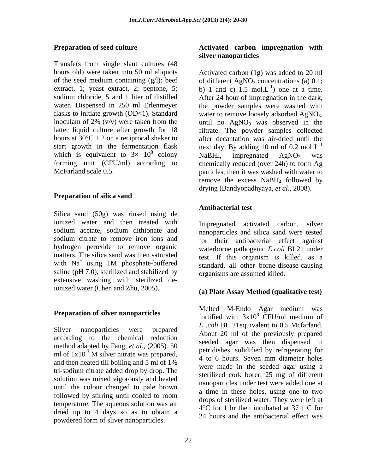Transfers from single slant cultures (48 hours old) were taken into 50 ml aliquots Activated carbon (1g) was added to 20 ml flasks to initiate growth (OD<1). Standard water to remove loosely adsorbed  $AgNO_3$ , inoculam of 2% (v/v) were taken from the until no  $AgNO_3$  was observed in the which is equivalent to  $3 \times 10^8$  colony<br>forming unit (CFU/ml) according to chemically reduced (over 24h) to form Ag

## **Preparation of silica sand**

Silica sand (50g) was rinsed using de ionized water and then treated with hydrogen peroxide to remove organic saline (pH 7.0), sterilized and stabilized by extensive washing with sterilized deionized water (Chen and Zhu, 2005).

## **Preparation of silver nanoparticles**

according to the chemical reduction method adapted by Fang, *et al*., (2005).50 and then heated till boiling and 5 ml of 1% tri-sodium citrate added drop by drop. The solution was mixed vigorously and heated until the colour changed to pale brown temperature. The aqueous solution was air dried up to 4 days so as to obtain a powdered form of sliver nanoparticles.

### **Preparation of seed culture Activated carbon impregnation with silver nanoparticles**

of the seed medium containing  $(g/l)$ : beef of different AgNO<sub>3</sub> concentrations (a) 0.1; extract, 1; yeast extract, 2; peptone, 5; b) 1 and c) 1.5 mol. $L^{-1}$  one at a time. sodium chloride, 5 and 1 liter of distilled After 24 hour of impregnation in the dark, water. Dispensed in 250 ml Erlenmeyer the powder samples were washed with latter liquid culture after growth for 18 filtrate. The powder samples collected hours at  $30^{\circ}\text{C} \pm 2$  on a reciprocal shaker to after decantation was air-dried until the start growth in the fermentation flask next day. By adding 10 ml of 0.2 mol  $L^{-1}$  $\frac{8}{2}$  colony N-DII improvemental A-NO success. colony  $NaBH_4$ , impregnated  $AgNO_3$  was forming unit (CFU/ml) according to chemically reduced (over 24h) to form Ag McFarland scale 0.5. The particles, then it was washed with water to  $-1$  and at a time ) one at a time. water to remove loosely adsorbed  $AgNO_3$ ,<br>until no  $AgNO_3$  was observed in the -1  $NaBH<sub>4</sub>$ , impregnated  $AgNO<sub>3</sub>$  was remove the excess NaBH4 followed by drying (Bandyopadhyaya, *et al*., 2008).

## **Antibacterial test**

sodium acetate, sodium dithionate and <br>nanoparticles and silica sand were tested sodium citrate to remove iron ions and for their antibacterial effect against matters. The silica sand was then saturated test. If this organism is killed, as a with  $Na<sup>+</sup>$  using 1M phosphate-buffered standard, all other borne-disease-causing Impregnated activated carbon, silver nanoparticles and silica sand were tested waterborne pathogenic *E.coli* BL21 under standard, all other borne-disease-causing organisms are assumed killed.

### **(a) Plate Assay Method (qualitative test)**

Silver nanoparticles were prepared<br>
About 20 ml of the previously prepared<br>  $\frac{2 \cdot \cot \theta}{20}$  ml of the previously prepared ml of  $1x10^{-3}$  M silver nitrate was prepared, permaising solution of  $1x10^{-3}$  M silver nitrate was prepared, followed by stirring until cooled to room a time in these holes, using one to two Melted M-Endo Agar medium was fortified with  $3x10^8$  CFU/ml medium of <sup>8</sup> CFU/ml medium of *E .coli* BL 21equivalent to 0.5 Mcfarland. seeded agar was then dispensed in petridishes, solidified by refrigerating for 4 to 6 hours. Seven mm diameter holes were made in the seeded agar using a sterilized cork borer. 25 mg of different nanoparticles under test were added one at a time in these holes, using one to two drops of sterilized water. They were left at  $4^{\circ}$ C for 1 hr then incubated at 37  $\Box$ C for 24 hours and the antibacterial effect was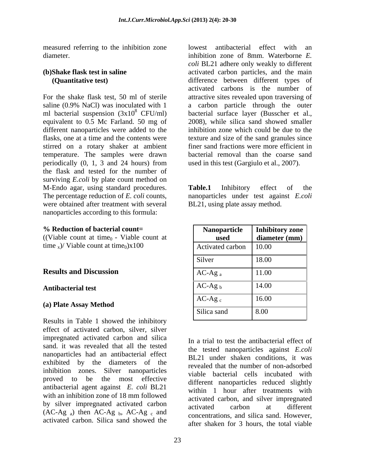measured referring to the inhibition zone lowest antibacterial effect with an

For the shake flask test, 50 ml of sterile attractive sites revealed upon traversing of saline (0.9% NaCl) was inoculated with 1 a carbon particle through the outer ml bacterial suspension  $(3x10^8 \text{ CFU/ml})$ equivalent to 0.5 Mc Farland. 50 mg of different nanoparticles were added to the flasks, one at a time and the contents were texture and size of the sand granules since stirred on a rotary shaker at ambient temperature. The samples were drawn periodically (0, 1, 3 and 24 hours) from the flask and tested for the number of surviving *E.coli* by plate count method on M-Endo agar, using standard procedures. Table.1 Inhibitory effect of the The percentage reduction of *E. coli* counts, nanoparticles under test against *E.coli* were obtained after treatment with several nanoparticles according to this formula:

### **% Reduction of bacterial count=**

### **Antibacterial test**

Results in Table 1 showed the inhibitory effect of activated carbon, silver, silver impregnated activated carbon and silica sand. it was revealed that all the tested nanoparticles had an antibacterial effect exhibited by the diameters of the inhibition zones. Silver nanoparticles proved to be the most effective antibacterial agent against *E. coli* BL21 with an inhibition zone of 18 mm followed by silver impregnated activated carbon<br>activated carbon at different  $(AC-Ag_a)$  then  $AC-Ag_b$ ,  $AC-Ag_c$  and activated carbon. Silica sand showed the

diameter. inhibition zone of 8mm. Waterborne *E.*  **(b)Shake flask test in saline**  activated carbon particles, and the main  **(Quantitative test)** difference between different types of <sup>8</sup> CFU/ml) bacterial surface layer (Busscher et al., lowest antibacterial effect with an *coli* BL21 adhere only weakly to different activated carbons is the number of 2008), while silica sand showed smaller inhibition zone which could be due to the finer sand fractions were more efficient in bacterial removal than the coarse sand used in this test (Gargiulo et al., 2007).

> **Table.1** Inhibitory effect of the BL21, using plate assay method.

| % Reduction of bacterial count=<br>((Viable count at time <sub>0</sub> - Viable count at | <b>Nanoparticle</b><br>used | Inhibitory zone<br>diameter $(mm)$ |
|------------------------------------------------------------------------------------------|-----------------------------|------------------------------------|
| time $_{x}$ )/ Viable count at time <sub>0</sub> ) $x100$                                | Activated carbon            | 10.00                              |
|                                                                                          | Silver                      | 18.00                              |
| <b>Results and Discussion</b>                                                            | $AC-Ag_a$                   | 11.00                              |
| <b>Antibacterial test</b>                                                                | $AC-Ag_b$                   | 14.00                              |
| (a) Plate Assay Method                                                                   | $AC-Ag_c$                   | 16.00                              |
|                                                                                          | Silica sand                 | 8.00                               |

In a trial to test the antibacterial effect of the tested nanoparticles against *E.coli* BL21 under shaken conditions, it was revealed that the number of non-adsorbed viable bacterial cells incubated with different nanoparticles reduced slightly within 1 hour after treatments with activated carbon, and silver impregnated activated carbon at different concentrations, and silica sand. However, after shaken for 3 hours, the total viable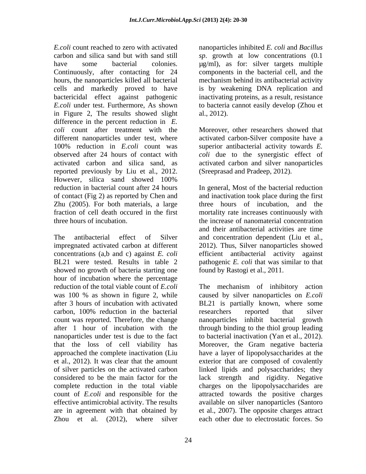*E.coli* count reached to zero with activated nanoparticles inhibited *E. coli* and *Bacillus* carbon and silica sand but with sand still *sp*. growth at low concentrations (0.1 have some bacterial colonies.  $\mu$ g/ml), as for: silver targets multiple Continuously, after contacting for 24 components in the bacterial cell, and the hours, the nanoparticles killed all bacterial cells and markedly proved to have is by weakening DNA replication and bactericidal effect against pathogenic inactivating proteins, as a result, resistance *E.coli* under test. Furthermore, As shown to bacteria cannot easily develop (Zhou et in Figure 2, The results showed slight al., 2012). difference in the percent reduction in *E. coli* count after treatment with the Moreover, other researchers showed that different nanoparticles under test, where activated carbon-Silver composite have a 100% reduction in *E.coli* count was observed after 24 hours of contact with *coli* due to the synergistic effect of activated carbon and silica sand, as activated carbon and silver nanoparticles reported previously by Liu et al., 2012. (Sreeprasad and Pradeep, 2012).<br>However, silica sand showed 100% Zhu (2005). For both materials, a large

showed no growth of bacteria starting one hour of incubation where the percentage count was reported. Therefore, the change nanoparticles under test is due to the fact that the loss of cell viability has Zhou et al. (2012), where silver each other due to electrostatic forces. So

mechanism behind its antibacterial activity al., 2012).

superior antibacterial activity towards *E.*  (Sreeprasad and Pradeep, 2012).

reduction in bacterial count after 24 hours In general, Most of the bacterial reduction of contact (Fig 2) as reported by Chen and and inactivation took place during the first fraction of cell death occured in the first mortality rate increases continuously with three hours of incubation. the increase of nanomaterial concentration The antibacterial effect of Silver and concentration dependent (Liu et al., impregnated activated carbon at different 2012). Thus, Silver nanoparticles showed concentrations (a,b and c) against *E. coli* efficient antibacterial activity against BL21 were tested. Results in table 2 pathogenic *E. coli* that was similar to that three hours of incubation, and the and their antibacterial activities are time found by Rastogi et al., 2011.

reduction of the total viable count of *E.coli* The mechanism of inhibitory action was 100 % as shown in figure 2, while caused by silver nanoparticles on *E.coli* after 3 hours of incubation with activated BL21 is partially known, where some carbon, 100% reduction in the bacterial after 1 hour of incubation with the through binding to the thiol group leading approached the complete inactivation (Liu have a layer of lipopolysaccharides at the et al., 2012). It was clear that the amount exterior that are composed of covalently of silver particles on the activated carbon linked lipids and polysaccharides; they considered to be the main factor for the lack strength and rigidity. Negative complete reduction in the total viable charges on the lipopolysaccharides are count of *E.coli* and responsible for the attracted towards the positive charges effective antimicrobial activity. The results available on silver nanoparticles (Santoro are in agreement with that obtained by et al., 2007). The opposite charges attract researchers reported that silver nanoparticles inhibit bacterial growth to bacterial inactivation (Yan et al., 2012). Moreover, the Gram negative bacteria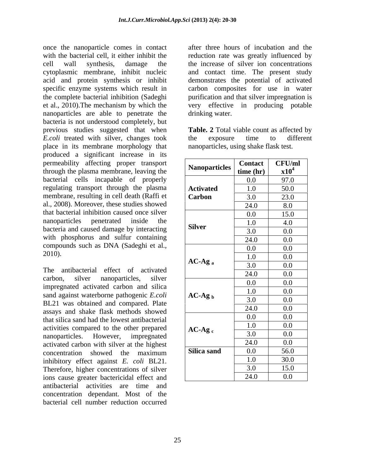once the nanoparticle comes in contact with the bacterial cell, it either inhibit the reduction rate was greatly influenced by cell wall synthesis, damage the the increase of silver ion concentrations cytoplasmic membrane, inhibit nucleic and contact time. The present study acid and protein synthesis or inhibit demonstrates the potential of activated specific enzyme systems which result in carbon composites for use in water the complete bacterial inhibition (Sadeghi purification and that silver impregnation is et al., 2010).The mechanism by which the very effective in producing potable nanoparticles are able to penetrate the bacteria is not understood completely, but previous studies suggested that when **Table. 2** Total viable count as affected by *E.coli* treated with silver, changes took the exposure time to different place in its membrane morphology that produced a significant increase in its permeability affecting proper transport through the plasma membrane, leaving the bacterial cells incapable of properly regulating transport through the plasma membrane, resulting in cell death (Raffi et al., 2008). Moreover, these studies showed that bacterial inhibition caused once silver nanoparticles penetrated inside the bacteria and caused damage by interacting with phosphorus and sulfur containing compounds such as DNA (Sadeghi et al., 2010).  $\frac{3.6}{1.0} = \frac{3.6}{1.0} = \frac{3.6}{1.0} = \frac{3.6}{1.0} = \frac{3.6}{1.0} = \frac{3.6}{1.0} = \frac{3.6}{1.0} = \frac{3.6}{1.0} = \frac{3.6}{1.0} = \frac{3.6}{1.0} = \frac{3.6}{1.0} = \frac{3.6}{1.0} = \frac{3.6}{1.0} = \frac{3.6}{1.0} = \frac{3.6}{1.0} = \frac{3.6}{1.0} = \frac{3.6}{1.0} = \frac{3.6}{1.$ 

The antibacterial effect of activated carbon, silver nanoparticles, silver  $\frac{24.6}{0.0}$   $\frac{0.0}{0.0}$ impregnated activated carbon and silica sand against waterborne pathogenic *E.coli* BL21 was obtained and compared. Plate assays and shake flask methods showed that silica sand had the lowest antibacterial activities compared to the other prepared nanoparticles. However, impregnated  $\frac{3.0}{2.0}$   $\frac{0.0}{0.0}$ activated carbon with silver at the highest concentration showed the maximum  $\vert$  Silica sand  $\vert$  0.0  $\vert$  56.0 inhibitory effect against *E. coli* BL21. Therefore, higher concentrations of silver ions cause greater bactericidal effect and antibacterial activities are time and concentration dependant. Most of the bacterial cell number reduction occurred

after three hours of incubation and the drinking water.

the exposure time to different nanoparticles, using shake flask test.

|                      | <b>Contact</b> | CFU/ml                       |
|----------------------|----------------|------------------------------|
| <b>Nanoparticles</b> | time (hr)      | $\mathbf{x}$ 10 <sup>4</sup> |
|                      | $0.0\,$        | 97.0                         |
| <b>Activated</b>     | 1.0            | 50.0                         |
| <b>Carbon</b>        | 3.0            | 23.0                         |
|                      | 24.0           | 8.0                          |
|                      | $0.0\,$        | 15.0                         |
| <b>Silver</b>        | 1.0            | 4.0                          |
|                      | 3.0            | $0.0\,$                      |
|                      | 24.0           | $0.0\,$                      |
|                      | $0.0\,$        | $0.0\,$                      |
| $AC-Ag_a$            | 1.0            | $0.0\,$                      |
|                      | 3.0            | $0.0\,$                      |
|                      | 24.0           | $0.0\,$                      |
|                      | $0.0\,$        | $0.0\,$                      |
| $AC-Ag_b$            | 1.0            | $0.0\,$                      |
|                      | 3.0            | $0.0\,$                      |
|                      | 24.0           | $0.0\,$                      |
|                      | $0.0\,$        | $0.0\,$                      |
|                      | 1.0            | $0.0\,$                      |
| $AC-Ag_c$            | 3.0            | $0.0\,$                      |
|                      | 24.0           | $0.0\,$                      |
| Silica sand          | $0.0\,$        | 56.0                         |
|                      | 1.0            | 30.0                         |
|                      | 3.0            | 15.0                         |
|                      | 24.0           | $0.0\,$                      |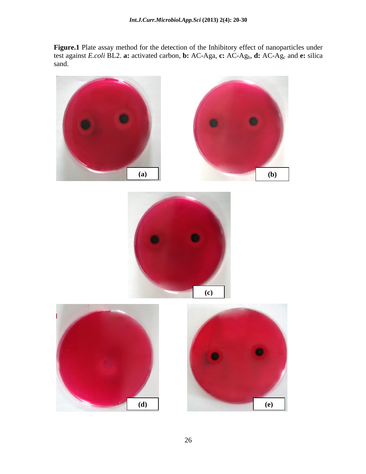**Figure.1** Plate assay method for the detection of the Inhibitory effect of nanoparticles under test against *E.coli* BL2. **a:** activated carbon, **b:** AC-Aga, **c:** AC-Agb, **d:** AC-Agc and **e:** silica sand.

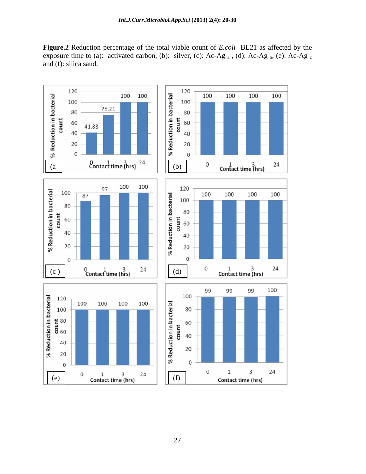**Figure.2** Reduction percentage of the total viable count of *E.coli* BL21 as affected by the exposure time to (a): activated carbon, (b): silver, (c): Ac-Ag  $_a$ , (d): Ac-Ag  $_b$ , (e): Ac-Ag  $_c$ and (f): silica sand.

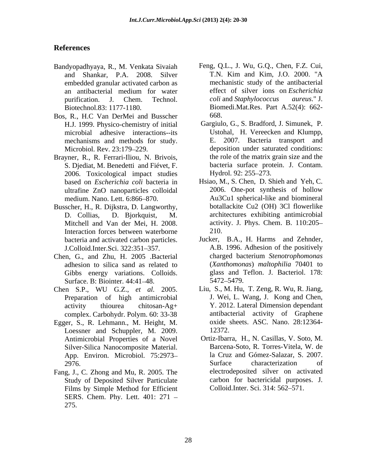# **References**

- Bandyopadhyaya, R., M. Venkata Sivaiah Feng, Q.L., J. Wu, G.Q., Chen, F.Z. Cui, and Shankar. P.A. 2008. Silver T.N. Kim and Kim, J.O. 2000. "A and Shankar, P.A. 2008. Silver embedded granular activated carbon as
- Bos, R., H.C Van DerMei and Busscher microbial adhesive interactions--its
- Brayner, R., R. Ferrari-Iliou, N. Brivois, S. Djediat, M. Benedetti and Fiévet, F. 2006. Toxicological impact studies ultrafine ZnO nanoparticles colloidal
- Busscher, H., R. Dijkstra, D. Langworthy,
- Chen, G., and Zhu, H. 2005 .Bacterial adhesion to silica sand as related to Gibbs energy variations. Colloids. glass and 5<br>Surface B: Biointer  $44.41-48$  5472-5479. Surface. B: Biointer. 44:41–48.
- Chen S.P., WU G.Z., *et al.* 2005. Preparation of high antimicrobial complex. Carbohydr. Polym. 60: 33-38
- Egger, S., R. Lehmann., M. Height, M. Loessner and Schuppler, M. 2009. Silver-Silica Nanocomposite Material. App. Environ. Microbiol. 75:2973- la Cruz<br>2976 Surface
- Fang, J., C. Zhong and Mu, R. 2005. The Study of Deposited Silver Particulate Films by Simple Method for Efficient SERS. Chem. Phy. Lett. 401: 271
- an antibacterial medium for water effect of silver ions on *Escherichia* purification. J. Chem. Technol. coli and Staphylococcus aureus." J. Biotechnol.83: 1177-1180. Biomedi.Mat.Res. Part A.52(4): 662 mechanistic study of the antibacterial effect of silver ions on *Escherichia coli* and *Staphylococcus aureus*." J. 668.
- H.J. 1999. Physico-chemistry of initial Gargiulo, G., S. Bradford, J. Simunek, P. mechanisms and methods for study. E. 2007. Bacteria transport and<br>Microbiol. Rev. 23:179–229. deposition under saturated conditions: dyopadhyaya, R. M. Venkins Sitvain Teng, Q.L., J. Wu, G.Q., Chen, D. Zoween the antibacted granular scievaristic entropy of the antibacted propagation and activated controlled propagation and the antibacted propagation and Ustohal, H. Vereecken and Klumpp, E. 2007. Bacteria transport and deposition under saturated conditions: the role of the matrix grain size and the bacteria surface protein. J. Contam. Hydrol. 92: 255–273.
- based on *Escherichia coli* bacteria in Hsiao, M., S. Chen, D. Shieh and Yeh, C. medium. Nano. Lett. 6:866 870. Au3Cu1 spherical-like and biomineral D. Collias, D. Bjorkquist, M. architectures exhibiting antimicrobial Mitchell and Van der Mei, H. 2008. <br>Interaction forces between waterborne 210. 2006. One-pot synthesis of hollow botallackite Cu2 (OH) 3Cl flowerlike activity. J. Phys. Chem. B. 110:205 210.
- bacteria and activated carbon particles. Jucker, B.A., H. Harms and Zehnder, J.Colloid.Inter.Sci. 322:351–357. A.B. 1996. Adhesion of the positively Jucker, B.A., H. Harms and Zehnder, A.B. 1996. Adhesion of the positively charged bacterium *Stenotrophomonas* (*Xanthomonas*) *maltophilia* 70401 to glass and Teflon. J. Bacteriol. 178: 5472 5479.
- activity thiourea chitosan-Ag+ Y. 2012. Lateral Dimension dependant Liu, S., M. Hu, T. Zeng, R. Wu, R. Jiang, J. Wei, L. Wang, J. Kong and Chen, antibacterial activity of Graphene oxide sheets. ASC. Nano. 28:12364- 12372.
- Antimicrobial Properties of a Novel Ortiz-Ibarra, H., N. Casillas, V. Soto, M. 2976. Surface characterization of Barcena-Soto, R. Torres-Vitela, W. de la Cruz and Gómez-Salazar, S. 2007. Surface characterization of electrodeposited silver on activated carbon for bactericidal purposes. J. Colloid.Inter. Sci. 314: 562–571.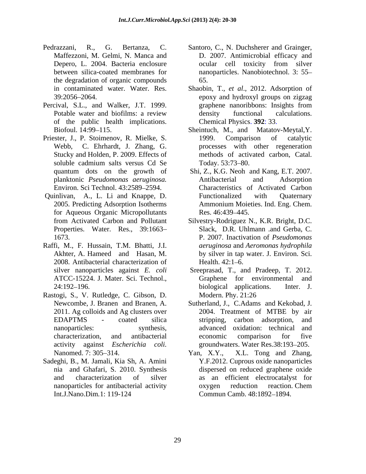- Pedrazzani, R., G. Bertanza, C. Santoro, C., N. Duchsherer and Grainger, the degradation of organic compounds
- Percival, S.L., and Walker, J.T. 1999. graphene nanoribbons: Insights from of the public health implications.
- Priester, J., P. Stoimenov, R. Mielke, S. 1999. Comparison of catalytic
- Quinlivan, A., L. Li and Knappe, D. for Aqueous Organic Micropollutants Res. 46:439–445. Properties. Water. Res., 39:1663–
- Raffi, M., F. Hussain, T.M. Bhatti, J.I. 2008. Antibacterial characterization of
- Rastogi, S., V. Rutledge, C. Gibson, D.
- Sadeghi, B., M. Jamali, Kia Sh, A. Amini
- Maffezzoni, M. Gelmi, N. Manca and D. 2007. Antimicrobial efficacy and Depero, L. 2004. Bacteria enclosure ocular cell toxicity from silver between silica-coated membranes for nanoparticles. Nanobiotechnol. 3: 55 ocular cell toxicity from silver 65.
- in contaminated water. Water. Res. Shaobin, T., *et al*., 2012. Adsorption of 39:2056 2064. epoxy and hydroxyl groups on zigzag Potable water and biofilms: a review density functional calculations. graphene nanoribbons: Insights from density functional calculations. Chemical Physics. **392**: 33.
- Biofoul. 14:99–115. Sheintuch, M., and Matatov-Meytal, Y. Webb, C. Ehrhardt, J. Zhang, G. processes with other regeneration Stucky and Holden, P. 2009. Effects of methods of activated carbon, Catal. soluble cadmium salts versus Cd Se Today. 53:73–80. 1999. Comparison of catalytic Today. 53:73–80.
- quantum dots on the growth of Shi, Z., K.G. Neoh and Kang, E.T. 2007. planktonic *Pseudomonas aeruginosa.* Environ. Sci Technol. 43:2589 2594. Characteristics of Activated Carbon 2005. Predicting Adsorption Isotherms Ammonium Moieties. Ind. Eng. Chem. Antibacterial and Adsorption Functionalized with Quaternary Res. 46:439–445.
- from Activated Carbon and Pollutant Silvestry-Rodriguez N., K.R. Bright, D.C. 1673. P. 2007. Inactivation of *Pseudomonas*  Akhter, A. Hameed and Hasan, M. by silver in tap water. J. Environ. Sci. Slack, D.R. Uhlmann .and Gerba, C. *aeruginosa* and *Aeromonas hydrophila* Health.  $42:1-6$ .
- silver nanoparticles against *E. coli* Sreeprasad, T., and Pradeep, T. 2012. ATCC-15224. J. Mater. Sci. Technol., 24:192–196. biological applications. Inter. J. Graphene for environmental biological applications. Inter. J. Modern. Phy. 21:26
- Newcombe, J. Branen and Branen, A. Sutherland, J., C.Adams and Kekobad, J. 2011. Ag colloids and Ag clusters over 2004. Treatment of MTBE by air EDAPTMS - coated silica nanoparticles: synthesis, advanced oxidation: technical and characterization, and antibacterial activity against *Escherichia coli*. groundwaters. Water Res.38:193-205. stripping, carbon adsorption, and economic comparison for five
- Nanomed. 7: 305 314. nia and Ghafari, S. 2010. Synthesis dispersed on reduced graphene oxide and characterization of silver as an efficient electrocatalyst for nanoparticles for antibacterial activity Int.J.Nano.Dim.1: 119-124 Commun Camb. 48:1892–1894. Yan, X.Y., X.L. Tong and Zhang, Y.F.2012. Cuprous oxide nanoparticles oxygen reduction reaction. Chem